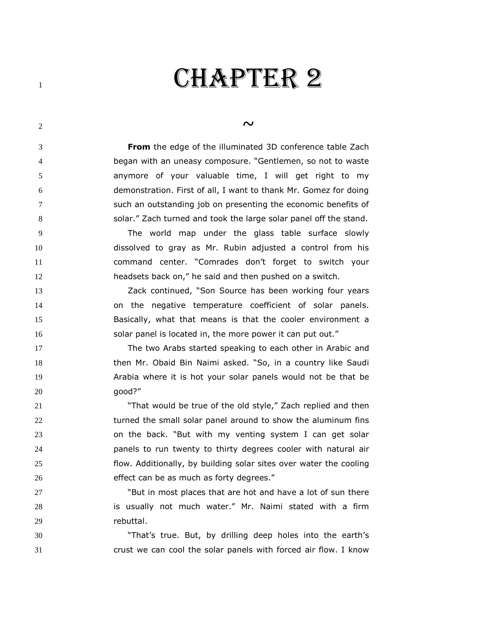## CHAPTER 2

## $\sim$   $\sim$

 **From** the edge of the illuminated 3D conference table Zach began with an uneasy composure. "Gentlemen, so not to waste anymore of your valuable time, I will get right to my demonstration. First of all, I want to thank Mr. Gomez for doing such an outstanding job on presenting the economic benefits of solar." Zach turned and took the large solar panel off the stand.

 The world map under the glass table surface slowly dissolved to gray as Mr. Rubin adjusted a control from his command center. "Comrades don't forget to switch your headsets back on," he said and then pushed on a switch.

 Zack continued, "Son Source has been working four years on the negative temperature coefficient of solar panels. Basically, what that means is that the cooler environment a 16 solar panel is located in, the more power it can put out."

 The two Arabs started speaking to each other in Arabic and then Mr. Obaid Bin Naimi asked. "So, in a country like Saudi Arabia where it is hot your solar panels would not be that be good?"

 "That would be true of the old style," Zach replied and then 22 turned the small solar panel around to show the aluminum fins on the back. "But with my venting system I can get solar panels to run twenty to thirty degrees cooler with natural air flow. Additionally, by building solar sites over water the cooling 26 effect can be as much as forty degrees."

 "But in most places that are hot and have a lot of sun there is usually not much water." Mr. Naimi stated with a firm rebuttal.

 "That's true. But, by drilling deep holes into the earth's crust we can cool the solar panels with forced air flow. I know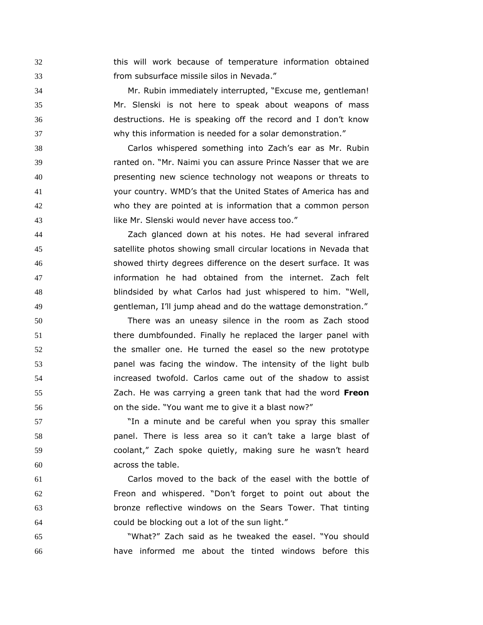this will work because of temperature information obtained from subsurface missile silos in Nevada."

 Mr. Rubin immediately interrupted, "Excuse me, gentleman! Mr. Slenski is not here to speak about weapons of mass destructions. He is speaking off the record and I don't know why this information is needed for a solar demonstration."

 Carlos whispered something into Zach's ear as Mr. Rubin ranted on. "Mr. Naimi you can assure Prince Nasser that we are presenting new science technology not weapons or threats to your country. WMD's that the United States of America has and who they are pointed at is information that a common person **IIKE Mr. Slenski would never have access too.**"

 Zach glanced down at his notes. He had several infrared satellite photos showing small circular locations in Nevada that showed thirty degrees difference on the desert surface. It was information he had obtained from the internet. Zach felt blindsided by what Carlos had just whispered to him. "Well, gentleman, I'll jump ahead and do the wattage demonstration."

 There was an uneasy silence in the room as Zach stood there dumbfounded. Finally he replaced the larger panel with the smaller one. He turned the easel so the new prototype panel was facing the window. The intensity of the light bulb increased twofold. Carlos came out of the shadow to assist Zach. He was carrying a green tank that had the word **Freon** on the side. "You want me to give it a blast now?"

 "In a minute and be careful when you spray this smaller panel. There is less area so it can't take a large blast of coolant," Zach spoke quietly, making sure he wasn't heard across the table.

 Carlos moved to the back of the easel with the bottle of Freon and whispered. "Don't forget to point out about the bronze reflective windows on the Sears Tower. That tinting could be blocking out a lot of the sun light."

 "What?" Zach said as he tweaked the easel. "You should have informed me about the tinted windows before this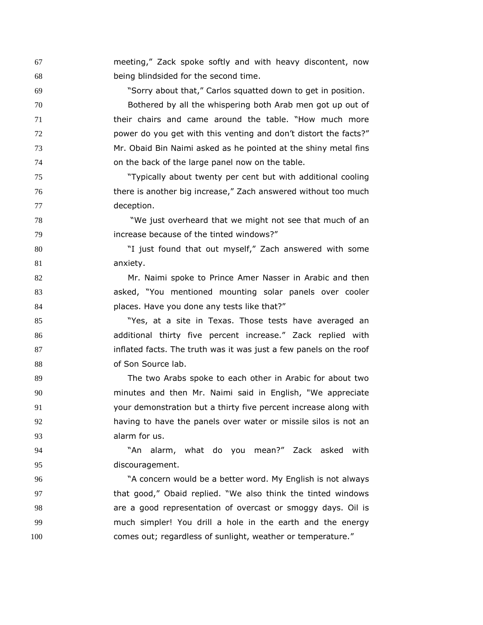meeting," Zack spoke softly and with heavy discontent, now being blindsided for the second time.

 "Sorry about that," Carlos squatted down to get in position. Bothered by all the whispering both Arab men got up out of their chairs and came around the table. "How much more **power do you get with this venting and don't distort the facts?"**  Mr. Obaid Bin Naimi asked as he pointed at the shiny metal fins on the back of the large panel now on the table.

 "Typically about twenty per cent but with additional cooling there is another big increase," Zach answered without too much deception.

 "We just overheard that we might not see that much of an increase because of the tinted windows?"

 "I just found that out myself," Zach answered with some anxiety.

 Mr. Naimi spoke to Prince Amer Nasser in Arabic and then asked, "You mentioned mounting solar panels over cooler **places.** Have you done any tests like that?"

85 "Yes, at a site in Texas. Those tests have averaged an additional thirty five percent increase." Zack replied with inflated facts. The truth was it was just a few panels on the roof 88 of Son Source lab.

 The two Arabs spoke to each other in Arabic for about two minutes and then Mr. Naimi said in English, "We appreciate your demonstration but a thirty five percent increase along with 92 having to have the panels over water or missile silos is not an alarm for us.

 "An alarm, what do you mean?" Zack asked with discouragement.

 "A concern would be a better word. My English is not always that good," Obaid replied. "We also think the tinted windows **are a good representation of overcast or smoggy days. Oil is**  much simpler! You drill a hole in the earth and the energy comes out; regardless of sunlight, weather or temperature."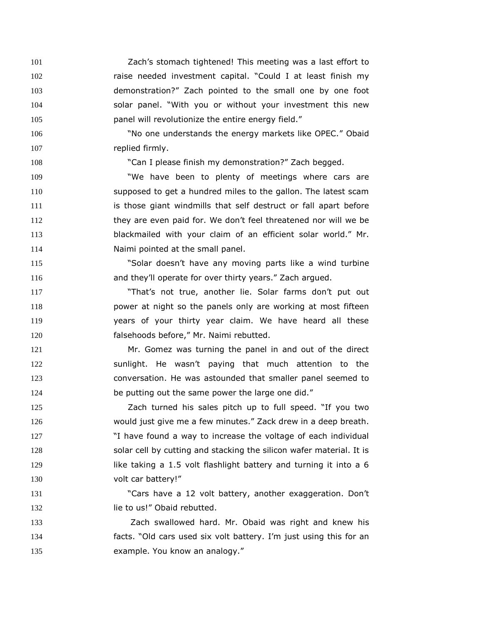Zach's stomach tightened! This meeting was a last effort to raise needed investment capital. "Could I at least finish my demonstration?" Zach pointed to the small one by one foot solar panel. "With you or without your investment this new **panel will revolutionize the entire energy field."** 

 "No one understands the energy markets like OPEC." Obaid 107 replied firmly.

"Can I please finish my demonstration?" Zach begged.

 "We have been to plenty of meetings where cars are supposed to get a hundred miles to the gallon. The latest scam **is those giant windmills that self destruct or fall apart before**  they are even paid for. We don't feel threatened nor will we be blackmailed with your claim of an efficient solar world." Mr. **Naimi pointed at the small panel.** 

 "Solar doesn't have any moving parts like a wind turbine **and they'll operate for over thirty years."** Zach argued.

 "That's not true, another lie. Solar farms don't put out power at night so the panels only are working at most fifteen years of your thirty year claim. We have heard all these falsehoods before," Mr. Naimi rebutted.

 Mr. Gomez was turning the panel in and out of the direct sunlight. He wasn't paying that much attention to the conversation. He was astounded that smaller panel seemed to be putting out the same power the large one did."

 Zach turned his sales pitch up to full speed. "If you two would just give me a few minutes." Zack drew in a deep breath. "I have found a way to increase the voltage of each individual solar cell by cutting and stacking the silicon wafer material. It is **like taking a 1.5 volt flashlight battery and turning it into a 6** 130 volt car battery!"

 "Cars have a 12 volt battery, another exaggeration. Don't 132 lie to us!" Obaid rebutted.

 Zach swallowed hard. Mr. Obaid was right and knew his facts. "Old cars used six volt battery. I'm just using this for an 135 example. You know an analogy."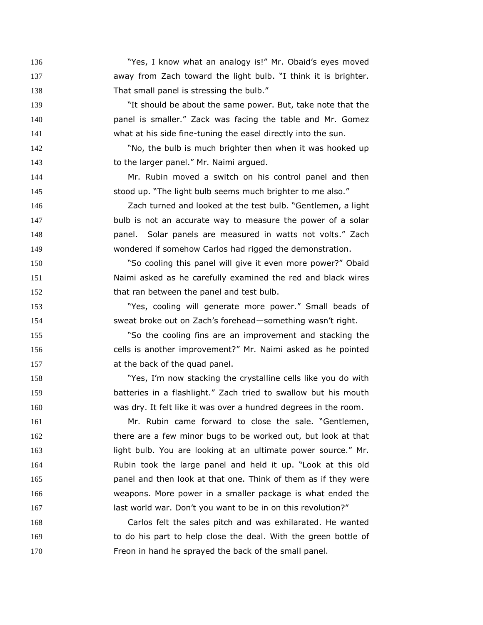"Yes, I know what an analogy is!" Mr. Obaid's eyes moved **away from Zach toward the light bulb.** "I think it is brighter. 138 That small panel is stressing the bulb."

 "It should be about the same power. But, take note that the panel is smaller." Zack was facing the table and Mr. Gomez what at his side fine-tuning the easel directly into the sun.

 "No, the bulb is much brighter then when it was hooked up 143 to the larger panel." Mr. Naimi argued.

 Mr. Rubin moved a switch on his control panel and then stood up. "The light bulb seems much brighter to me also."

 Zach turned and looked at the test bulb. "Gentlemen, a light bulb is not an accurate way to measure the power of a solar panel. Solar panels are measured in watts not volts." Zach wondered if somehow Carlos had rigged the demonstration.

 "So cooling this panel will give it even more power?" Obaid Naimi asked as he carefully examined the red and black wires 152 that ran between the panel and test bulb.

 "Yes, cooling will generate more power." Small beads of sweat broke out on Zach's forehead—something wasn't right.

 "So the cooling fins are an improvement and stacking the cells is another improvement?" Mr. Naimi asked as he pointed 157 at the back of the quad panel.

 "Yes, I'm now stacking the crystalline cells like you do with batteries in a flashlight." Zach tried to swallow but his mouth was dry. It felt like it was over a hundred degrees in the room.

 Mr. Rubin came forward to close the sale. "Gentlemen, there are a few minor bugs to be worked out, but look at that light bulb. You are looking at an ultimate power source." Mr. Rubin took the large panel and held it up. "Look at this old panel and then look at that one. Think of them as if they were weapons. More power in a smaller package is what ended the 167 last world war. Don't you want to be in on this revolution?"

 Carlos felt the sales pitch and was exhilarated. He wanted to do his part to help close the deal. With the green bottle of **Freon in hand he sprayed the back of the small panel.**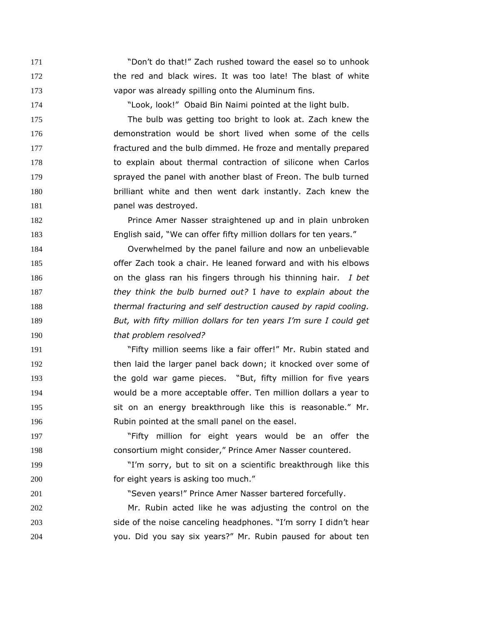"Don't do that!" Zach rushed toward the easel so to unhook 172 the red and black wires. It was too late! The blast of white vapor was already spilling onto the Aluminum fins.

"Look, look!" Obaid Bin Naimi pointed at the light bulb.

 The bulb was getting too bright to look at. Zach knew the demonstration would be short lived when some of the cells fractured and the bulb dimmed. He froze and mentally prepared to explain about thermal contraction of silicone when Carlos sprayed the panel with another blast of Freon. The bulb turned brilliant white and then went dark instantly. Zach knew the **panel was destroyed.** 

 Prince Amer Nasser straightened up and in plain unbroken English said, "We can offer fifty million dollars for ten years."

 Overwhelmed by the panel failure and now an unbelievable offer Zach took a chair. He leaned forward and with his elbows on the glass ran his fingers through his thinning hair. *I bet they think the bulb burned out?* I *have to explain about the thermal fracturing and self destruction caused by rapid cooling. But, with fifty million dollars for ten years I'm sure I could get that problem resolved?*

 "Fifty million seems like a fair offer!" Mr. Rubin stated and then laid the larger panel back down; it knocked over some of the gold war game pieces. "But, fifty million for five years would be a more acceptable offer. Ten million dollars a year to sit on an energy breakthrough like this is reasonable." Mr. Rubin pointed at the small panel on the easel.

 "Fifty million for eight years would be an offer the **consortium might consider," Prince Amer Nasser countered.** 

 "I'm sorry, but to sit on a scientific breakthrough like this **for eight years is asking too much.**"

"Seven years!" Prince Amer Nasser bartered forcefully.

 Mr. Rubin acted like he was adjusting the control on the side of the noise canceling headphones. "I'm sorry I didn't hear you. Did you say six years?" Mr. Rubin paused for about ten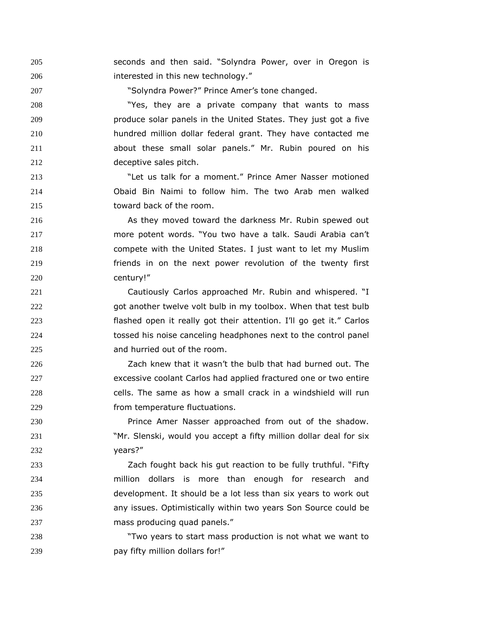seconds and then said. "Solyndra Power, over in Oregon is **interested in this new technology.**"

"Solyndra Power?" Prince Amer's tone changed.

 "Yes, they are a private company that wants to mass produce solar panels in the United States. They just got a five hundred million dollar federal grant. They have contacted me about these small solar panels." Mr. Rubin poured on his deceptive sales pitch.

 "Let us talk for a moment." Prince Amer Nasser motioned Obaid Bin Naimi to follow him. The two Arab men walked toward back of the room.

 As they moved toward the darkness Mr. Rubin spewed out more potent words. "You two have a talk. Saudi Arabia can't compete with the United States. I just want to let my Muslim friends in on the next power revolution of the twenty first century!"

 Cautiously Carlos approached Mr. Rubin and whispered. "I got another twelve volt bulb in my toolbox. When that test bulb flashed open it really got their attention. I'll go get it." Carlos tossed his noise canceling headphones next to the control panel and hurried out of the room.

 Zach knew that it wasn't the bulb that had burned out. The excessive coolant Carlos had applied fractured one or two entire cells. The same as how a small crack in a windshield will run from temperature fluctuations.

**Prince Amer Nasser approached from out of the shadow.**  "Mr. Slenski, would you accept a fifty million dollar deal for six years?"

 Zach fought back his gut reaction to be fully truthful. "Fifty million dollars is more than enough for research and development. It should be a lot less than six years to work out any issues. Optimistically within two years Son Source could be mass producing quad panels."

 "Two years to start mass production is not what we want to **pay fifty million dollars for!**"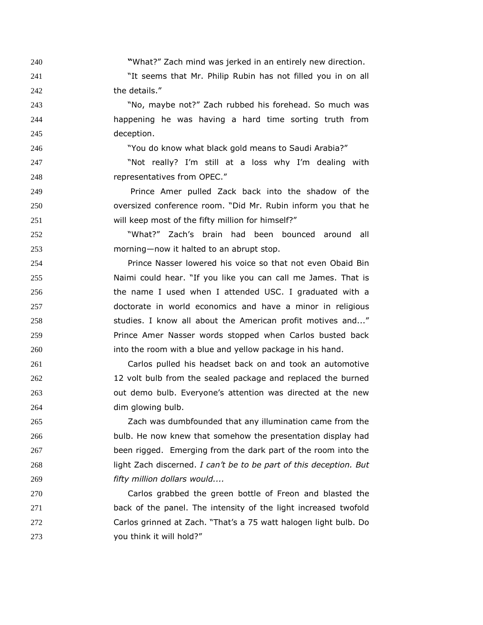**"**What?" Zach mind was jerked in an entirely new direction.

 "It seems that Mr. Philip Rubin has not filled you in on all 242 the details."

 "No, maybe not?" Zach rubbed his forehead. So much was happening he was having a hard time sorting truth from deception.

"You do know what black gold means to Saudi Arabia?"

247 The Mot really? I'm still at a loss why I'm dealing with representatives from OPEC."

 Prince Amer pulled Zack back into the shadow of the oversized conference room. "Did Mr. Rubin inform you that he will keep most of the fifty million for himself?"

 "What?" Zach's brain had been bounced around all morning—now it halted to an abrupt stop.

 Prince Nasser lowered his voice so that not even Obaid Bin Naimi could hear. "If you like you can call me James. That is the name I used when I attended USC. I graduated with a doctorate in world economics and have a minor in religious **Studies. I know all about the American profit motives and...**" Prince Amer Nasser words stopped when Carlos busted back 260 into the room with a blue and yellow package in his hand.

 Carlos pulled his headset back on and took an automotive 12 volt bulb from the sealed package and replaced the burned out demo bulb. Everyone's attention was directed at the new dim glowing bulb.

 Zach was dumbfounded that any illumination came from the bulb. He now knew that somehow the presentation display had been rigged. Emerging from the dark part of the room into the light Zach discerned. *I can't be to be part of this deception. But fifty million dollars would....* 

 Carlos grabbed the green bottle of Freon and blasted the back of the panel. The intensity of the light increased twofold Carlos grinned at Zach. "That's a 75 watt halogen light bulb. Do you think it will hold?"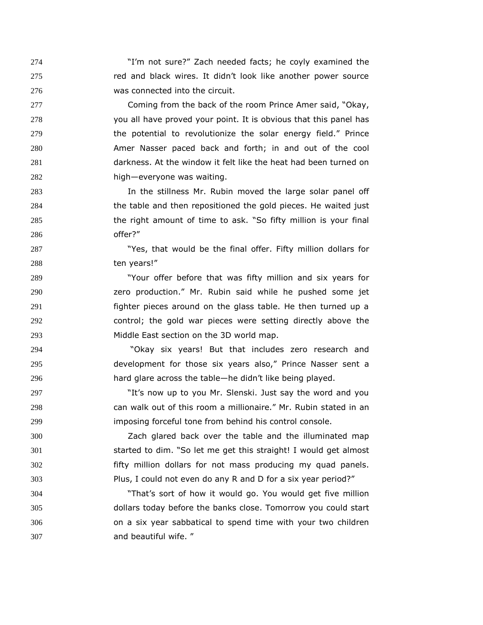"I'm not sure?" Zach needed facts; he coyly examined the red and black wires. It didn't look like another power source was connected into the circuit.

277 Coming from the back of the room Prince Amer said, "Okay, you all have proved your point. It is obvious that this panel has the potential to revolutionize the solar energy field." Prince Amer Nasser paced back and forth; in and out of the cool darkness. At the window it felt like the heat had been turned on high—everyone was waiting.

 In the stillness Mr. Rubin moved the large solar panel off the table and then repositioned the gold pieces. He waited just the right amount of time to ask. "So fifty million is your final offer?"

287 The State of that would be the final offer. Fifty million dollars for ten years!"

 "Your offer before that was fifty million and six years for zero production." Mr. Rubin said while he pushed some jet fighter pieces around on the glass table. He then turned up a control; the gold war pieces were setting directly above the Middle East section on the 3D world map.

 "Okay six years! But that includes zero research and development for those six years also," Prince Nasser sent a hard glare across the table—he didn't like being played.

297 The south of the Vou Mr. Slenski. Just say the word and you can walk out of this room a millionaire." Mr. Rubin stated in an imposing forceful tone from behind his control console.

 Zach glared back over the table and the illuminated map started to dim. "So let me get this straight! I would get almost fifty million dollars for not mass producing my quad panels. Plus, I could not even do any R and D for a six year period?"

 "That's sort of how it would go. You would get five million dollars today before the banks close. Tomorrow you could start on a six year sabbatical to spend time with your two children and beautiful wife. "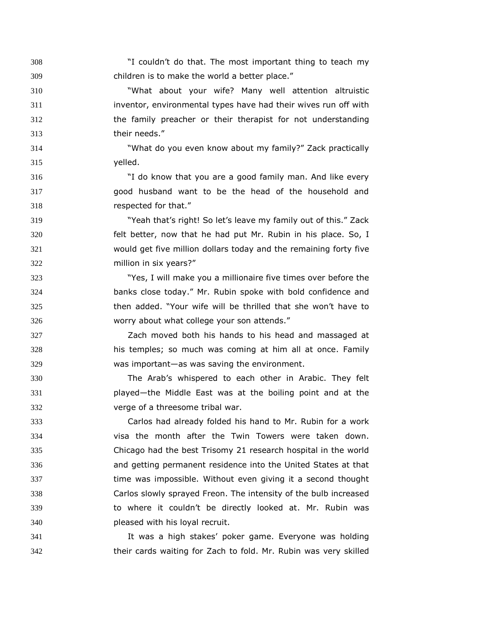"I couldn't do that. The most important thing to teach my children is to make the world a better place."

 "What about your wife? Many well attention altruistic inventor, environmental types have had their wives run off with the family preacher or their therapist for not understanding their needs."

 "What do you even know about my family?" Zack practically yelled.

 "I do know that you are a good family man. And like every good husband want to be the head of the household and respected for that."

 "Yeah that's right! So let's leave my family out of this." Zack felt better, now that he had put Mr. Rubin in his place. So, I would get five million dollars today and the remaining forty five million in six years?"

 "Yes, I will make you a millionaire five times over before the banks close today." Mr. Rubin spoke with bold confidence and then added. "Your wife will be thrilled that she won't have to worry about what college your son attends."

 Zach moved both his hands to his head and massaged at his temples; so much was coming at him all at once. Family was important—as was saving the environment.

 The Arab's whispered to each other in Arabic. They felt played—the Middle East was at the boiling point and at the verge of a threesome tribal war.

 Carlos had already folded his hand to Mr. Rubin for a work visa the month after the Twin Towers were taken down. Chicago had the best Trisomy 21 research hospital in the world and getting permanent residence into the United States at that time was impossible. Without even giving it a second thought Carlos slowly sprayed Freon. The intensity of the bulb increased to where it couldn't be directly looked at. Mr. Rubin was pleased with his loyal recruit.

 It was a high stakes' poker game. Everyone was holding their cards waiting for Zach to fold. Mr. Rubin was very skilled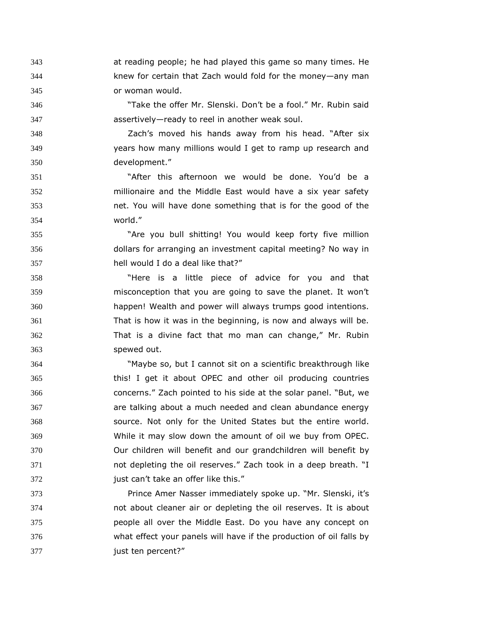at reading people; he had played this game so many times. He knew for certain that Zach would fold for the money—any man or woman would.

 "Take the offer Mr. Slenski. Don't be a fool." Mr. Rubin said assertively—ready to reel in another weak soul.

 Zach's moved his hands away from his head. "After six years how many millions would I get to ramp up research and development."

 "After this afternoon we would be done. You'd be a millionaire and the Middle East would have a six year safety net. You will have done something that is for the good of the world."

 "Are you bull shitting! You would keep forty five million dollars for arranging an investment capital meeting? No way in hell would I do a deal like that?"

 "Here is a little piece of advice for you and that misconception that you are going to save the planet. It won't happen! Wealth and power will always trumps good intentions. That is how it was in the beginning, is now and always will be. That is a divine fact that mo man can change," Mr. Rubin spewed out.

 "Maybe so, but I cannot sit on a scientific breakthrough like this! I get it about OPEC and other oil producing countries concerns." Zach pointed to his side at the solar panel. "But, we are talking about a much needed and clean abundance energy source. Not only for the United States but the entire world. While it may slow down the amount of oil we buy from OPEC. Our children will benefit and our grandchildren will benefit by not depleting the oil reserves." Zach took in a deep breath. "I **just can't take an offer like this."** 

 Prince Amer Nasser immediately spoke up. "Mr. Slenski, it's not about cleaner air or depleting the oil reserves. It is about people all over the Middle East. Do you have any concept on what effect your panels will have if the production of oil falls by just ten percent?"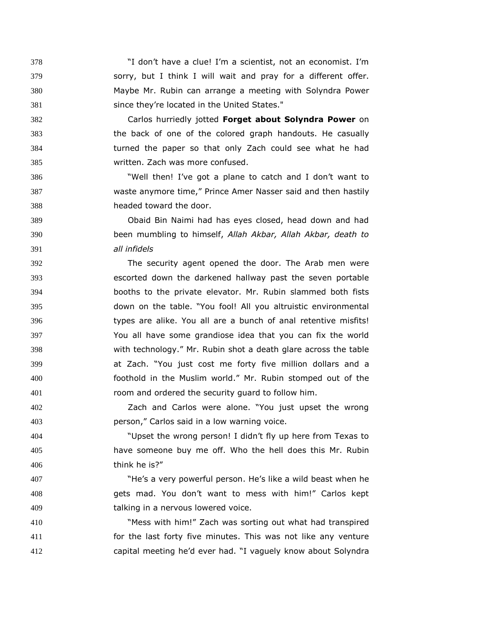"I don't have a clue! I'm a scientist, not an economist. I'm sorry, but I think I will wait and pray for a different offer. Maybe Mr. Rubin can arrange a meeting with Solyndra Power since they're located in the United States."

 Carlos hurriedly jotted **Forget about Solyndra Power** on the back of one of the colored graph handouts. He casually turned the paper so that only Zach could see what he had written. Zach was more confused.

 "Well then! I've got a plane to catch and I don't want to waste anymore time," Prince Amer Nasser said and then hastily headed toward the door.

 Obaid Bin Naimi had has eyes closed, head down and had been mumbling to himself, *Allah Akbar, Allah Akbar, death to all infidels*

 The security agent opened the door. The Arab men were escorted down the darkened hallway past the seven portable booths to the private elevator. Mr. Rubin slammed both fists down on the table. "You fool! All you altruistic environmental types are alike. You all are a bunch of anal retentive misfits! You all have some grandiose idea that you can fix the world with technology." Mr. Rubin shot a death glare across the table at Zach. "You just cost me forty five million dollars and a foothold in the Muslim world." Mr. Rubin stomped out of the room and ordered the security guard to follow him.

 Zach and Carlos were alone. "You just upset the wrong person," Carlos said in a low warning voice.

 "Upset the wrong person! I didn't fly up here from Texas to have someone buy me off. Who the hell does this Mr. Rubin think he is?"

 "He's a very powerful person. He's like a wild beast when he gets mad. You don't want to mess with him!" Carlos kept talking in a nervous lowered voice.

 "Mess with him!" Zach was sorting out what had transpired for the last forty five minutes. This was not like any venture capital meeting he'd ever had. "I vaguely know about Solyndra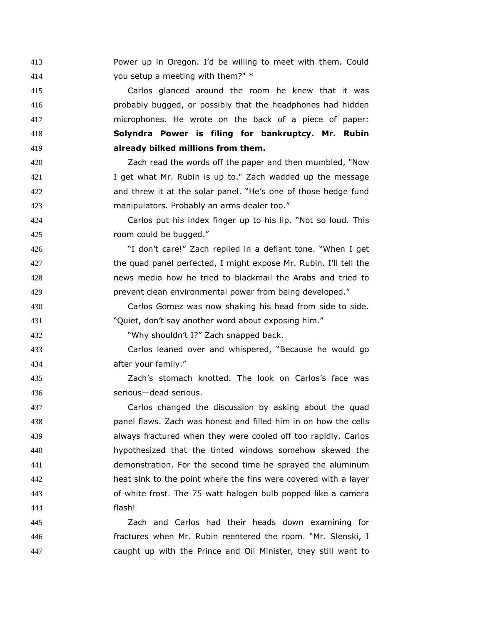Power up in Oregon. I'd be willing to meet with them. Could you setup a meeting with them?" \*

 Carlos glanced around the room he knew that it was probably bugged, or possibly that the headphones had hidden microphones. He wrote on the back of a piece of paper: **Solyndra Power is filing for bankruptcy. Mr. Rubin already bilked millions from them.** 

 Zach read the words off the paper and then mumbled, "Now I get what Mr. Rubin is up to." Zach wadded up the message and threw it at the solar panel. "He's one of those hedge fund manipulators. Probably an arms dealer too."

 Carlos put his index finger up to his lip. "Not so loud. This room could be bugged."

 "I don't care!" Zach replied in a defiant tone. "When I get the quad panel perfected, I might expose Mr. Rubin. I'll tell the news media how he tried to blackmail the Arabs and tried to prevent clean environmental power from being developed."

 Carlos Gomez was now shaking his head from side to side. "Quiet, don't say another word about exposing him."

"Why shouldn't I?" Zach snapped back.

 Carlos leaned over and whispered, "Because he would go after your family."

 Zach's stomach knotted. The look on Carlos's face was serious—dead serious.

 Carlos changed the discussion by asking about the quad panel flaws. Zach was honest and filled him in on how the cells always fractured when they were cooled off too rapidly. Carlos hypothesized that the tinted windows somehow skewed the demonstration. For the second time he sprayed the aluminum heat sink to the point where the fins were covered with a layer of white frost. The 75 watt halogen bulb popped like a camera flash!

 Zach and Carlos had their heads down examining for fractures when Mr. Rubin reentered the room. "Mr. Slenski, I caught up with the Prince and Oil Minister, they still want to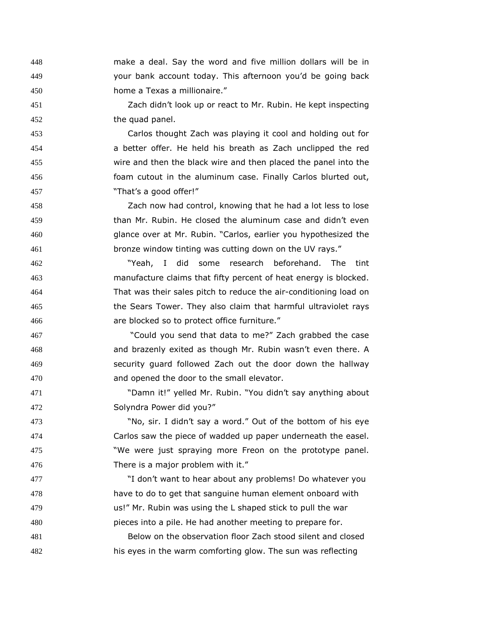make a deal. Say the word and five million dollars will be in your bank account today. This afternoon you'd be going back home a Texas a millionaire."

 Zach didn't look up or react to Mr. Rubin. He kept inspecting the quad panel.

 Carlos thought Zach was playing it cool and holding out for a better offer. He held his breath as Zach unclipped the red wire and then the black wire and then placed the panel into the foam cutout in the aluminum case. Finally Carlos blurted out, "That's a good offer!"

 Zach now had control, knowing that he had a lot less to lose than Mr. Rubin. He closed the aluminum case and didn't even glance over at Mr. Rubin. "Carlos, earlier you hypothesized the bronze window tinting was cutting down on the UV rays."

 "Yeah, I did some research beforehand. The tint manufacture claims that fifty percent of heat energy is blocked. That was their sales pitch to reduce the air-conditioning load on the Sears Tower. They also claim that harmful ultraviolet rays are blocked so to protect office furniture."

 "Could you send that data to me?" Zach grabbed the case and brazenly exited as though Mr. Rubin wasn't even there. A security guard followed Zach out the door down the hallway and opened the door to the small elevator.

 "Damn it!" yelled Mr. Rubin. "You didn't say anything about Solyndra Power did you?"

 "No, sir. I didn't say a word." Out of the bottom of his eye Carlos saw the piece of wadded up paper underneath the easel. "We were just spraying more Freon on the prototype panel. There is a major problem with it."

 "I don't want to hear about any problems! Do whatever you have to do to get that sanguine human element onboard with us!" Mr. Rubin was using the L shaped stick to pull the war pieces into a pile. He had another meeting to prepare for.

 Below on the observation floor Zach stood silent and closed his eyes in the warm comforting glow. The sun was reflecting